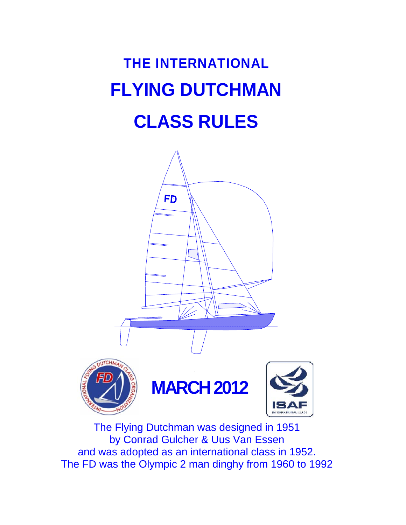# **THE INTERNATIONAL FLYING DUTCHMAN CLASS RULES**



The Flying Dutchman was designed in 1951 by Conrad Gulcher & Uus Van Essen and was adopted as an international class in 1952. The FD was the Olympic 2 man dinghy from 1960 to 1992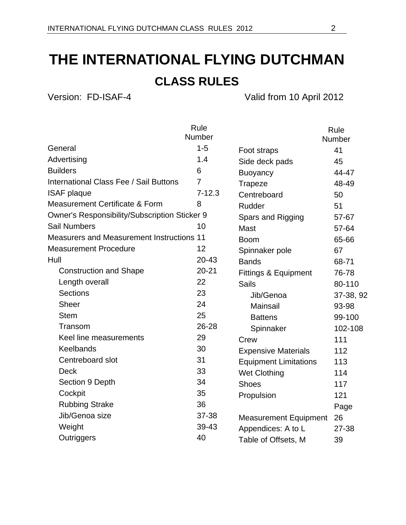# **THE INTERNATIONAL FLYING DUTCHMAN**

## **CLASS RULES**

Version: FD-ISAF-4 Valid from 10 April 2012

|                                                  | Rule           |                              | Rule          |
|--------------------------------------------------|----------------|------------------------------|---------------|
|                                                  | Number         |                              | <b>Number</b> |
| General                                          | $1 - 5$        | Foot straps                  | 41            |
| Advertising                                      | 1.4            | Side deck pads               | 45            |
| <b>Builders</b>                                  | 6              | <b>Buoyancy</b>              | 44-47         |
| International Class Fee / Sail Buttons           | $\overline{7}$ | <b>Trapeze</b>               | 48-49         |
| <b>ISAF plaque</b>                               | $7 - 12.3$     | Centreboard                  | 50            |
| <b>Measurement Certificate &amp; Form</b>        | 8              | Rudder                       | 51            |
| Owner's Responsibility/Subscription Sticker 9    |                | Spars and Rigging            | 57-67         |
| <b>Sail Numbers</b>                              | 10             | Mast                         | 57-64         |
| <b>Measurers and Measurement Instructions 11</b> |                | <b>Boom</b>                  | 65-66         |
| <b>Measurement Procedure</b>                     | 12             | Spinnaker pole               | 67            |
| Hull                                             | $20 - 43$      | <b>Bands</b>                 | 68-71         |
| <b>Construction and Shape</b>                    | $20 - 21$      | Fittings & Equipment         | 76-78         |
| Length overall                                   | 22             | <b>Sails</b>                 | 80-110        |
| <b>Sections</b>                                  | 23             | Jib/Genoa                    | 37-38, 92     |
| <b>Sheer</b>                                     | 24             | Mainsail                     | 93-98         |
| <b>Stem</b>                                      | 25             | <b>Battens</b>               | 99-100        |
| Transom                                          | 26-28          | Spinnaker                    | 102-108       |
| Keel line measurements                           | 29             | Crew                         | 111           |
| Keelbands                                        | 30             | <b>Expensive Materials</b>   | 112           |
| Centreboard slot                                 | 31             | <b>Equipment Limitations</b> | 113           |
| <b>Deck</b>                                      | 33             | <b>Wet Clothing</b>          | 114           |
| Section 9 Depth                                  | 34             | <b>Shoes</b>                 | 117           |
| Cockpit                                          | 35             | Propulsion                   | 121           |
| <b>Rubbing Strake</b>                            | 36             |                              | Page          |
| Jib/Genoa size                                   | 37-38          | <b>Measurement Equipment</b> | 26            |
| Weight                                           | 39-43          | Appendices: A to L           | 27-38         |
| Outriggers                                       | 40             | Table of Offsets, M          | 39            |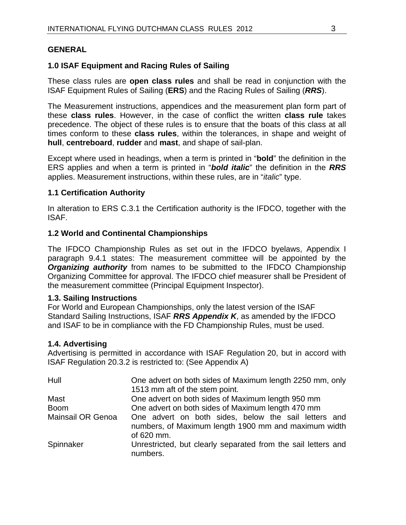#### **GENERAL**

#### **1.0 ISAF Equipment and Racing Rules of Sailing**

These class rules are **open class rules** and shall be read in conjunction with the ISAF Equipment Rules of Sailing (**ERS**) and the Racing Rules of Sailing (*RRS*).

The Measurement instructions, appendices and the measurement plan form part of these **class rules**. However, in the case of conflict the written **class rule** takes precedence. The object of these rules is to ensure that the boats of this class at all times conform to these **class rules**, within the tolerances, in shape and weight of **hull**, **centreboard**, **rudder** and **mast**, and shape of sail-plan.

Except where used in headings, when a term is printed in "**bold**" the definition in the ERS applies and when a term is printed in "*bold italic*" the definition in the *RRS* applies. Measurement instructions, within these rules, are in "*italic*" type.

#### **1.1 Certification Authority**

In alteration to ERS C.3.1 the Certification authority is the IFDCO, together with the ISAF.

#### **1.2 World and Continental Championships**

The IFDCO Championship Rules as set out in the IFDCO byelaws, Appendix I paragraph 9.4.1 states: The measurement committee will be appointed by the *Organizing authority* from names to be submitted to the IFDCO Championship Organizing Committee for approval. The IFDCO chief measurer shall be President of the measurement committee (Principal Equipment Inspector).

#### **1.3. Sailing Instructions**

For World and European Championships, only the latest version of the ISAF Standard Sailing Instructions, ISAF *RRS Appendix K*, as amended by the IFDCO and ISAF to be in compliance with the FD Championship Rules, must be used.

#### **1.4. Advertising**

Advertising is permitted in accordance with ISAF Regulation 20, but in accord with ISAF Regulation 20.3.2 is restricted to: (See Appendix A)

| Hull                     | One advert on both sides of Maximum length 2250 mm, only                                                                   |
|--------------------------|----------------------------------------------------------------------------------------------------------------------------|
|                          | 1513 mm aft of the stem point.                                                                                             |
| Mast                     | One advert on both sides of Maximum length 950 mm                                                                          |
| <b>Boom</b>              | One advert on both sides of Maximum length 470 mm                                                                          |
| <b>Mainsail OR Genoa</b> | One advert on both sides, below the sail letters and<br>numbers, of Maximum length 1900 mm and maximum width<br>of 620 mm. |
| Spinnaker                | Unrestricted, but clearly separated from the sail letters and<br>numbers.                                                  |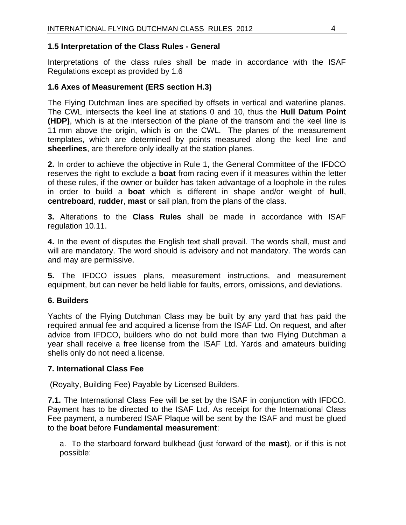#### **1.5 Interpretation of the Class Rules - General**

Interpretations of the class rules shall be made in accordance with the ISAF Regulations except as provided by 1.6

#### **1.6 Axes of Measurement (ERS section H.3)**

The Flying Dutchman lines are specified by offsets in vertical and waterline planes. The CWL intersects the keel line at stations 0 and 10, thus the **Hull Datum Point (HDP)**, which is at the intersection of the plane of the transom and the keel line is 11 mm above the origin, which is on the CWL. The planes of the measurement templates, which are determined by points measured along the keel line and **sheerlines**, are therefore only ideally at the station planes.

**2.** In order to achieve the objective in Rule 1, the General Committee of the IFDCO reserves the right to exclude a **boat** from racing even if it measures within the letter of these rules, if the owner or builder has taken advantage of a loophole in the rules in order to build a **boat** which is different in shape and/or weight of **hull**, **centreboard**, **rudder**, **mast** or sail plan, from the plans of the class.

**3.** Alterations to the **Class Rules** shall be made in accordance with ISAF regulation 10.11.

**4.** In the event of disputes the English text shall prevail. The words shall, must and will are mandatory. The word should is advisory and not mandatory. The words can and may are permissive.

**5.** The IFDCO issues plans, measurement instructions, and measurement equipment, but can never be held liable for faults, errors, omissions, and deviations.

#### **6. Builders**

Yachts of the Flying Dutchman Class may be built by any yard that has paid the required annual fee and acquired a license from the ISAF Ltd. On request, and after advice from IFDCO, builders who do not build more than two Flying Dutchman a year shall receive a free license from the ISAF Ltd. Yards and amateurs building shells only do not need a license.

#### **7. International Class Fee**

(Royalty, Building Fee) Payable by Licensed Builders.

**7.1.** The International Class Fee will be set by the ISAF in conjunction with IFDCO. Payment has to be directed to the ISAF Ltd. As receipt for the International Class Fee payment, a numbered ISAF Plaque will be sent by the ISAF and must be glued to the **boat** before **Fundamental measurement**:

a. To the starboard forward bulkhead (just forward of the **mast**), or if this is not possible: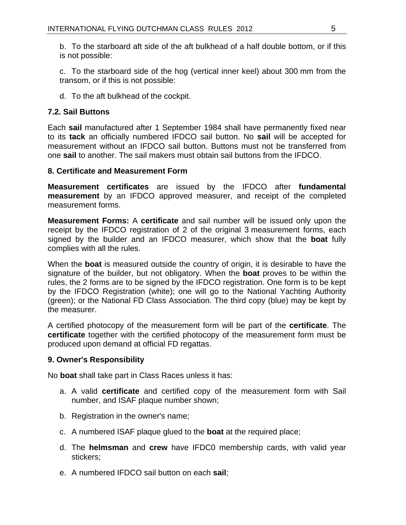b. To the starboard aft side of the aft bulkhead of a half double bottom, or if this is not possible:

c. To the starboard side of the hog (vertical inner keel) about 300 mm from the transom, or if this is not possible:

d. To the aft bulkhead of the cockpit.

#### **7.2. Sail Buttons**

Each **sail** manufactured after 1 September 1984 shall have permanently fixed near to its **tack** an officially numbered IFDCO sail button. No **sail** will be accepted for measurement without an IFDCO sail button. Buttons must not be transferred from one **sail** to another. The sail makers must obtain sail buttons from the IFDCO.

#### **8. Certificate and Measurement Form**

**Measurement certificates** are issued by the IFDCO after **fundamental measurement** by an IFDCO approved measurer, and receipt of the completed measurement forms.

**Measurement Forms:** A **certificate** and sail number will be issued only upon the receipt by the IFDCO registration of 2 of the original 3 measurement forms, each signed by the builder and an IFDCO measurer, which show that the **boat** fully complies with all the rules.

When the **boat** is measured outside the country of origin, it is desirable to have the signature of the builder, but not obligatory. When the **boat** proves to be within the rules, the 2 forms are to be signed by the IFDCO registration. One form is to be kept by the IFDCO Registration (white); one will go to the National Yachting Authority (green); or the National FD Class Association. The third copy (blue) may be kept by the measurer.

A certified photocopy of the measurement form will be part of the **certificate**. The **certificate** together with the certified photocopy of the measurement form must be produced upon demand at official FD regattas.

#### **9. Owner's Responsibility**

No **boat** shall take part in Class Races unless it has:

- a. A valid **certificate** and certified copy of the measurement form with Sail number, and ISAF plaque number shown;
- b. Registration in the owner's name;
- c. A numbered ISAF plaque glued to the **boat** at the required place;
- d. The **helmsman** and **crew** have IFDC0 membership cards, with valid year stickers;
- e. A numbered IFDCO sail button on each **sail**;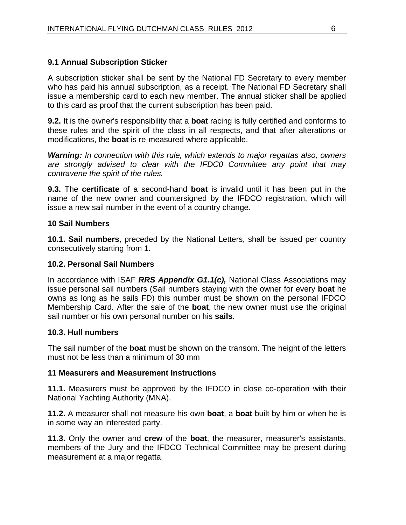#### **9.1 Annual Subscription Sticker**

A subscription sticker shall be sent by the National FD Secretary to every member who has paid his annual subscription, as a receipt. The National FD Secretary shall issue a membership card to each new member. The annual sticker shall be applied to this card as proof that the current subscription has been paid.

**9.2.** It is the owner's responsibility that a **boat** racing is fully certified and conforms to these rules and the spirit of the class in all respects, and that after alterations or modifications, the **boat** is re-measured where applicable.

*Warning: In connection with this rule, which extends to major regattas also, owners are strongly advised to clear with the IFDC0 Committee any point that may contravene the spirit of the rules.* 

**9.3.** The **certificate** of a second-hand **boat** is invalid until it has been put in the name of the new owner and countersigned by the IFDCO registration, which will issue a new sail number in the event of a country change.

#### **10 Sail Numbers**

**10.1. Sail numbers**, preceded by the National Letters, shall be issued per country consecutively starting from 1.

#### **10.2. Personal Sail Numbers**

In accordance with ISAF *RRS Appendix G1.1(c),* National Class Associations may issue personal sail numbers (Sail numbers staying with the owner for every **boat** he owns as long as he sails FD) this number must be shown on the personal IFDCO Membership Card. After the sale of the **boat**, the new owner must use the original sail number or his own personal number on his **sails**.

#### **10.3. Hull numbers**

The sail number of the **boat** must be shown on the transom. The height of the letters must not be less than a minimum of 30 mm

#### **11 Measurers and Measurement Instructions**

**11.1.** Measurers must be approved by the IFDCO in close co-operation with their National Yachting Authority (MNA).

**11.2.** A measurer shall not measure his own **boat**, a **boat** built by him or when he is in some way an interested party.

**11.3.** Only the owner and **crew** of the **boat**, the measurer, measurer's assistants, members of the Jury and the IFDCO Technical Committee may be present during measurement at a major regatta.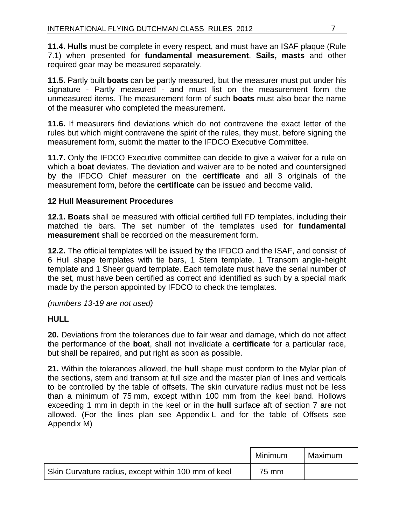**11.4. Hulls** must be complete in every respect, and must have an ISAF plaque (Rule 7.1) when presented for **fundamental measurement**. **Sails, masts** and other required gear may be measured separately.

**11.5.** Partly built **boats** can be partly measured, but the measurer must put under his signature - Partly measured - and must list on the measurement form the unmeasured items. The measurement form of such **boats** must also bear the name of the measurer who completed the measurement.

**11.6.** If measurers find deviations which do not contravene the exact letter of the rules but which might contravene the spirit of the rules, they must, before signing the measurement form, submit the matter to the IFDCO Executive Committee.

**11.7.** Only the IFDCO Executive committee can decide to give a waiver for a rule on which a **boat** deviates. The deviation and waiver are to be noted and countersigned by the IFDCO Chief measurer on the **certificate** and all 3 originals of the measurement form, before the **certificate** can be issued and become valid.

#### **12 Hull Measurement Procedures**

**12.1. Boats** shall be measured with official certified full FD templates, including their matched tie bars. The set number of the templates used for **fundamental measurement** shall be recorded on the measurement form.

**12.2.** The official templates will be issued by the IFDCO and the ISAF, and consist of 6 Hull shape templates with tie bars, 1 Stem template, 1 Transom angle-height template and 1 Sheer guard template. Each template must have the serial number of the set, must have been certified as correct and identified as such by a special mark made by the person appointed by IFDCO to check the templates.

*(numbers 13-19 are not used)* 

#### **HULL**

**20.** Deviations from the tolerances due to fair wear and damage, which do not affect the performance of the **boat**, shall not invalidate a **certificate** for a particular race, but shall be repaired, and put right as soon as possible.

**21.** Within the tolerances allowed, the **hull** shape must conform to the Mylar plan of the sections, stem and transom at full size and the master plan of lines and verticals to be controlled by the table of offsets. The skin curvature radius must not be less than a minimum of 75 mm, except within 100 mm from the keel band. Hollows exceeding 1 mm in depth in the keel or in the **hull** surface aft of section 7 are not allowed. (For the lines plan see Appendix L and for the table of Offsets see Appendix M)

|                                                     | Minimum | Maximum |
|-----------------------------------------------------|---------|---------|
| Skin Curvature radius, except within 100 mm of keel | 75 mm   |         |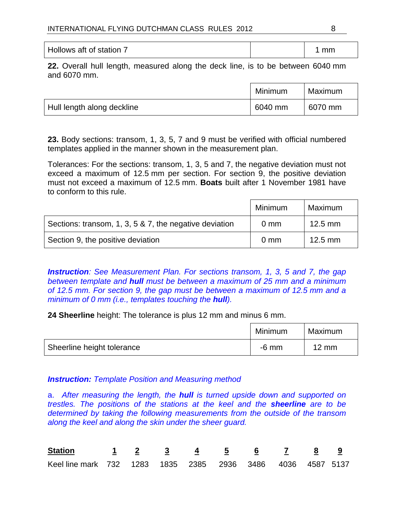| Hollows aft of station | mm |
|------------------------|----|
|                        |    |

**22.** Overall hull length, measured along the deck line, is to be between 6040 mm and 6070 mm.

|                            | Minimum | Maximum |
|----------------------------|---------|---------|
| Hull length along deckline | 6040 mm | 6070 mm |

**23.** Body sections: transom, 1, 3, 5, 7 and 9 must be verified with official numbered templates applied in the manner shown in the measurement plan.

Tolerances: For the sections: transom, 1, 3, 5 and 7, the negative deviation must not exceed a maximum of 12.5 mm per section. For section 9, the positive deviation must not exceed a maximum of 12.5 mm. **Boats** built after 1 November 1981 have to conform to this rule.

|                                                        | Minimum        | Maximum   |
|--------------------------------------------------------|----------------|-----------|
| Sections: transom, 1, 3, 5 & 7, the negative deviation | $0 \text{ mm}$ | $12.5$ mm |
| Section 9, the positive deviation                      | $0 \text{ mm}$ | $12.5$ mm |

*Instruction: See Measurement Plan. For sections transom, 1, 3, 5 and 7, the gap between template and hull must be between a maximum of 25 mm and a minimum of 12.5 mm. For section 9, the gap must be between a maximum of 12.5 mm and a minimum of 0 mm (i.e., templates touching the hull).* 

**24 Sheerline** height: The tolerance is plus 12 mm and minus 6 mm.

|                            | Minimum | Maximum         |
|----------------------------|---------|-----------------|
| Sheerline height tolerance | -6 mm   | $12 \text{ mm}$ |

#### *Instruction: Template Position and Measuring method*

a. *After measuring the length, the hull is turned upside down and supported on trestles. The positions of the stations at the keel and the sheerline are to be determined by taking the following measurements from the outside of the transom along the keel and along the skin under the sheer guard.*

| <u>Station 1 2 3 4 5 6 7 8 9</u>                           |  |  |  |  |  |
|------------------------------------------------------------|--|--|--|--|--|
| Keel line mark 732 1283 1835 2385 2936 3486 4036 4587 5137 |  |  |  |  |  |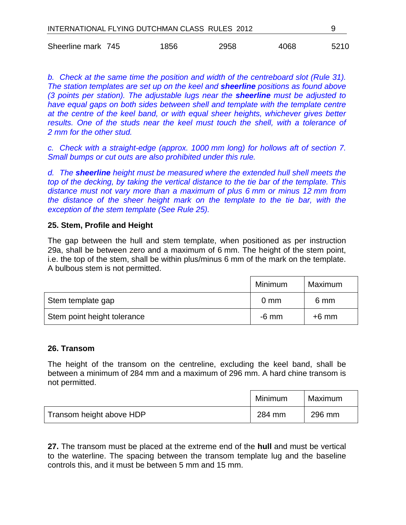| INTERNATIONAL FLYING DUTCHMAN CLASS RULES 2012 |  |      |      |      |      |
|------------------------------------------------|--|------|------|------|------|
| Sheerline mark 745                             |  | 1856 | 2958 | 4068 | 5210 |

*b. Check at the same time the position and width of the centreboard slot (Rule 31). The station templates are set up on the keel and sheerline positions as found above (3 points per station). The adjustable lugs near the sheerline must be adjusted to have equal gaps on both sides between shell and template with the template centre at the centre of the keel band, or with equal sheer heights, whichever gives better*  results. One of the studs near the keel must touch the shell, with a tolerance of *2 mm for the other stud.* 

*c. Check with a straight-edge (approx. 1000 mm long) for hollows aft of section 7. Small bumps or cut outs are also prohibited under this rule.* 

*d. The sheerline height must be measured where the extended hull shell meets the top of the decking, by taking the vertical distance to the tie bar of the template. This distance must not vary more than a maximum of plus 6 mm or minus 12 mm from the distance of the sheer height mark on the template to the tie bar, with the exception of the stem template (See Rule 25).* 

#### **25. Stem, Profile and Height**

The gap between the hull and stem template, when positioned as per instruction 29a, shall be between zero and a maximum of 6 mm. The height of the stem point, i.e. the top of the stem, shall be within plus/minus 6 mm of the mark on the template. A bulbous stem is not permitted.

|                             | Minimum        | Maximum |
|-----------------------------|----------------|---------|
| Stem template gap           | $0 \text{ mm}$ | 6 mm    |
| Stem point height tolerance | -6 mm          | $+6$ mm |

#### **26. Transom**

The height of the transom on the centreline, excluding the keel band, shall be between a minimum of 284 mm and a maximum of 296 mm. A hard chine transom is not permitted.

|                          | Minimum | Maximum |
|--------------------------|---------|---------|
| Transom height above HDP | 284 mm  | 296 mm  |

**27.** The transom must be placed at the extreme end of the **hull** and must be vertical to the waterline. The spacing between the transom template lug and the baseline controls this, and it must be between 5 mm and 15 mm.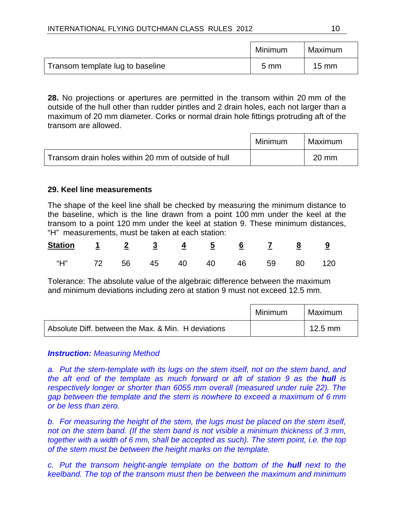|                                  | Minimum        | Maximum         |
|----------------------------------|----------------|-----------------|
| Transom template lug to baseline | $5 \text{ mm}$ | $15 \text{ mm}$ |

**28.** No projections or apertures are permitted in the transom within 20 mm of the outside of the hull other than rudder pintles and 2 drain holes, each not larger than a maximum of 20 mm diameter. Corks or normal drain hole fittings protruding aft of the transom are allowed.

|                                                     | Minimum | Maximum         |  |
|-----------------------------------------------------|---------|-----------------|--|
| Transom drain holes within 20 mm of outside of hull |         | $20 \text{ mm}$ |  |

#### **29. Keel line measurements**

The shape of the keel line shall be checked by measuring the minimum distance to the baseline, which is the line drawn from a point 100 mm under the keel at the transom to a point 120 mm under the keel at station 9. These minimum distances, "H" measurements, must be taken at each station:

| <u>Station <math>1</math> 2 3 4 5 6 7 8 9</u> |  |  |  |  |  |
|-----------------------------------------------|--|--|--|--|--|
| "H" 72 56 45 40 40 46 59 80 120               |  |  |  |  |  |

Tolerance: The absolute value of the algebraic difference between the maximum and minimum deviations including zero at station 9 must not exceed 12.5 mm.

|                                                     | Minimum | Maximum   |
|-----------------------------------------------------|---------|-----------|
| Absolute Diff. between the Max. & Min. H deviations |         | $12.5$ mm |

#### *Instruction: Measuring Method*

a. Put the stem-template with its lugs on the stem itself, not on the stem band, and *the aft end of the template as much forward or aft of station 9 as the hull is respectively longer or shorter than 6055 mm overall (measured under rule 22). The gap between the template and the stem is nowhere to exceed a maximum of 6 mm or be less than zero.* 

*b. For measuring the height of the stem, the lugs must be placed on the stem itself, not on the stem band. (If the stem band is not visible a minimum thickness of 3 mm, together with a width of 6 mm, shall be accepted as such). The stem point, i.e. the top of the stem must be between the height marks on the template.* 

*c. Put the transom height-angle template on the bottom of the hull next to the keelband. The top of the transom must then be between the maximum and minimum*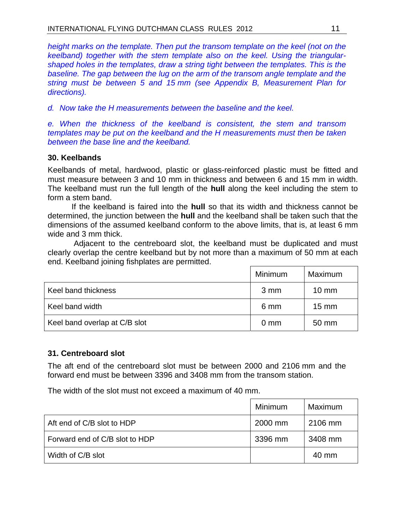*height marks on the template. Then put the transom template on the keel (not on the keelband) together with the stem template also on the keel. Using the triangularshaped holes in the templates, draw a string tight between the templates. This is the baseline. The gap between the lug on the arm of the transom angle template and the string must be between 5 and 15 mm (see Appendix B, Measurement Plan for directions).* 

*d. Now take the H measurements between the baseline and the keel.* 

*e. When the thickness of the keelband is consistent, the stem and transom templates may be put on the keelband and the H measurements must then be taken between the base line and the keelband.* 

#### **30. Keelbands**

Keelbands of metal, hardwood, plastic or glass-reinforced plastic must be fitted and must measure between 3 and 10 mm in thickness and between 6 and 15 mm in width. The keelband must run the full length of the **hull** along the keel including the stem to form a stem band.

If the keelband is faired into the **hull** so that its width and thickness cannot be determined, the junction between the **hull** and the keelband shall be taken such that the dimensions of the assumed keelband conform to the above limits, that is, at least 6 mm wide and 3 mm thick.

 Adjacent to the centreboard slot, the keelband must be duplicated and must clearly overlap the centre keelband but by not more than a maximum of 50 mm at each end. Keelband joining fishplates are permitted.

|                               | Minimum        | Maximum         |
|-------------------------------|----------------|-----------------|
| Keel band thickness           | 3 mm           | $10 \text{ mm}$ |
| Keel band width               | 6 mm           | $15 \text{ mm}$ |
| Keel band overlap at C/B slot | $0 \text{ mm}$ | 50 mm           |

#### **31. Centreboard slot**

The aft end of the centreboard slot must be between 2000 and 2106 mm and the forward end must be between 3396 and 3408 mm from the transom station.

The width of the slot must not exceed a maximum of 40 mm.

|                                | Minimum | Maximum |
|--------------------------------|---------|---------|
| Aft end of C/B slot to HDP     | 2000 mm | 2106 mm |
| Forward end of C/B slot to HDP | 3396 mm | 3408 mm |
| Width of C/B slot              |         | 40 mm   |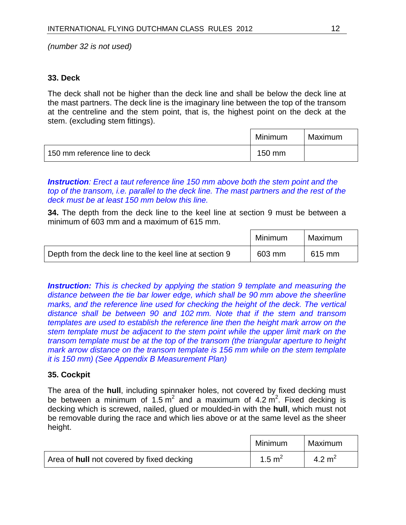#### **33. Deck**

The deck shall not be higher than the deck line and shall be below the deck line at the mast partners. The deck line is the imaginary line between the top of the transom at the centreline and the stem point, that is, the highest point on the deck at the stem. (excluding stem fittings).

|                               | Minimum | Maximum |
|-------------------------------|---------|---------|
| 150 mm reference line to deck | 150 mm  |         |

*Instruction: Erect a taut reference line 150 mm above both the stem point and the top of the transom, i.e. parallel to the deck line. The mast partners and the rest of the deck must be at least 150 mm below this line.* 

**34.** The depth from the deck line to the keel line at section 9 must be between a minimum of 603 mm and a maximum of 615 mm.

|                                                        | Minimum | Maximum |
|--------------------------------------------------------|---------|---------|
| Depth from the deck line to the keel line at section 9 | 603 mm  | 615 mm  |

*Instruction: This is checked by applying the station 9 template and measuring the distance between the tie bar lower edge, which shall be 90 mm above the sheerline marks, and the reference line used for checking the height of the deck. The vertical distance shall be between 90 and 102 mm. Note that if the stem and transom templates are used to establish the reference line then the height mark arrow on the stem template must be adjacent to the stem point while the upper limit mark on the transom template must be at the top of the transom (the triangular aperture to height mark arrow distance on the transom template is 156 mm while on the stem template it is 150 mm) (See Appendix B Measurement Plan)*

#### **35. Cockpit**

The area of the **hull**, including spinnaker holes, not covered by fixed decking must be between a minimum of  $1.5 \text{ m}^2$  and a maximum of 4.2  $\text{m}^2$ . Fixed decking is decking which is screwed, nailed, glued or moulded-in with the **hull**, which must not be removable during the race and which lies above or at the same level as the sheer height.

|                                           | Minimum            | Maximum  |
|-------------------------------------------|--------------------|----------|
| Area of hull not covered by fixed decking | 1.5 $\mathrm{m}^2$ | 4.2 $m2$ |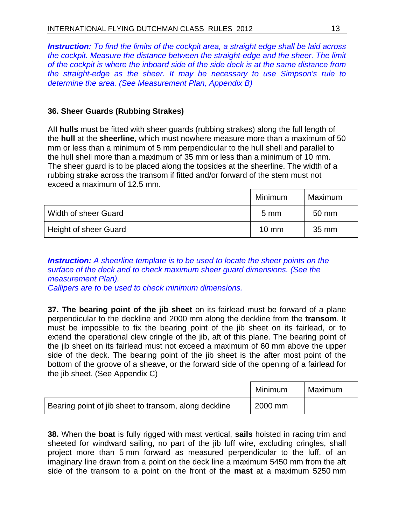*Instruction: To find the limits of the cockpit area, a straight edge shall be laid across the cockpit. Measure the distance between the straight-edge and the sheer. The limit of the cockpit is where the inboard side of the side deck is at the same distance from the straight-edge as the sheer. It may be necessary to use Simpson's rule to determine the area. (See Measurement Plan, Appendix B)* 

#### **36. Sheer Guards (Rubbing Strakes)**

AII **hulls** must be fitted with sheer guards (rubbing strakes) along the full length of the **hull** at the **sheerline**, which must nowhere measure more than a maximum of 50 mm or less than a minimum of 5 mm perpendicular to the hull shell and parallel to the hull shell more than a maximum of 35 mm or less than a minimum of 10 mm. The sheer guard is to be placed along the topsides at the sheerline. The width of a rubbing strake across the transom if fitted and/or forward of the stem must not exceed a maximum of 12.5 mm.

|                              | Minimum         | Maximum |
|------------------------------|-----------------|---------|
| Width of sheer Guard         | $5 \text{ mm}$  | 50 mm   |
| <b>Height of sheer Guard</b> | $10 \text{ mm}$ | 35 mm   |

#### *Instruction: A sheerline template is to be used to locate the sheer points on the surface of the deck and to check maximum sheer guard dimensions. (See the measurement Plan).*

*Callipers are to be used to check minimum dimensions.* 

**37. The bearing point of the jib sheet** on its fairlead must be forward of a plane perpendicular to the deckline and 2000 mm along the deckline from the **transom**. It must be impossible to fix the bearing point of the jib sheet on its fairlead, or to extend the operational clew cringle of the jib, aft of this plane. The bearing point of the jib sheet on its fairlead must not exceed a maximum of 60 mm above the upper side of the deck. The bearing point of the jib sheet is the after most point of the bottom of the groove of a sheave, or the forward side of the opening of a fairlead for the jib sheet. (See Appendix C)

|                                                       | Minimum | Maximum |
|-------------------------------------------------------|---------|---------|
| Bearing point of jib sheet to transom, along deckline | 2000 mm |         |

**38.** When the **boat** is fully rigged with mast vertical, **sails** hoisted in racing trim and sheeted for windward sailing, no part of the jib luff wire, excluding cringles, shall project more than 5 mm forward as measured perpendicular to the luff, of an imaginary line drawn from a point on the deck line a maximum 5450 mm from the aft side of the transom to a point on the front of the **mast** at a maximum 5250 mm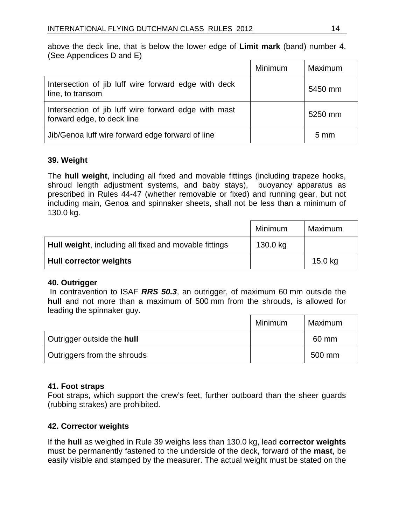above the deck line, that is below the lower edge of **Limit mark** (band) number 4. (See Appendices D and E)

|                                                                                    | Minimum | Maximum        |
|------------------------------------------------------------------------------------|---------|----------------|
| Intersection of jib luff wire forward edge with deck<br>line, to transom           |         | 5450 mm        |
| Intersection of jib luff wire forward edge with mast<br>forward edge, to deck line |         | 5250 mm        |
| Jib/Genoa luff wire forward edge forward of line                                   |         | $5 \text{ mm}$ |

#### **39. Weight**

The **hull weight**, including all fixed and movable fittings (including trapeze hooks, shroud length adjustment systems, and baby stays), buoyancy apparatus as prescribed in Rules 44-47 (whether removable or fixed) and running gear, but not including main, Genoa and spinnaker sheets, shall not be less than a minimum of 130.0 kg.

|                                                       | Minimum  | Maximum |
|-------------------------------------------------------|----------|---------|
| Hull weight, including all fixed and movable fittings | 130.0 kg |         |
| <b>Hull corrector weights</b>                         |          | 15.0 kg |

#### **40. Outrigger**

 In contravention to ISAF *RRS 50.3*, an outrigger, of maximum 60 mm outside the **hull** and not more than a maximum of 500 mm from the shrouds, is allowed for leading the spinnaker guy.

|                             | Minimum | Maximum |
|-----------------------------|---------|---------|
| Outrigger outside the hull  |         | 60 mm   |
| Outriggers from the shrouds |         | 500 mm  |

#### **41. Foot straps**

Foot straps, which support the crew's feet, further outboard than the sheer guards (rubbing strakes) are prohibited.

#### **42. Corrector weights**

If the **hull** as weighed in Rule 39 weighs less than 130.0 kg, lead **corrector weights** must be permanently fastened to the underside of the deck, forward of the **mast**, be easily visible and stamped by the measurer. The actual weight must be stated on the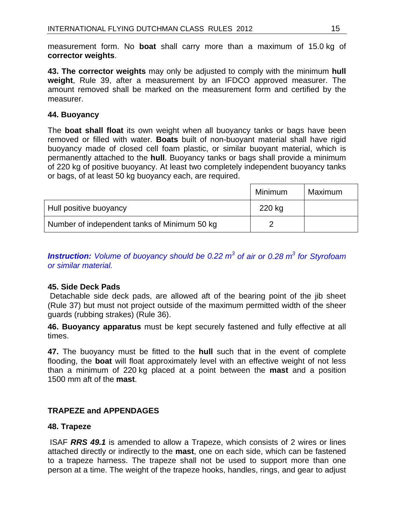measurement form. No **boat** shall carry more than a maximum of 15.0 kg of **corrector weights**.

**43. The corrector weights** may only be adjusted to comply with the minimum **hull weight**, Rule 39, after a measurement by an IFDCO approved measurer. The amount removed shall be marked on the measurement form and certified by the measurer.

#### **44. Buoyancy**

The **boat shall float** its own weight when all buoyancy tanks or bags have been removed or filled with water. **Boats** built of non-buoyant material shall have rigid buoyancy made of closed cell foam plastic, or similar buoyant material, which is permanently attached to the **hull**. Buoyancy tanks or bags shall provide a minimum of 220 kg of positive buoyancy. At least two completely independent buoyancy tanks or bags, of at least 50 kg buoyancy each, are required.

|                                              | Minimum | Maximum |
|----------------------------------------------|---------|---------|
| Hull positive buoyancy                       | 220 kg  |         |
| Number of independent tanks of Minimum 50 kg |         |         |

**Instruction:** Volume of buoyancy should be 0.22 m<sup>3</sup> of air or 0.28 m<sup>3</sup> for Styrofoam *or similar material.* 

#### **45. Side Deck Pads**

 Detachable side deck pads, are allowed aft of the bearing point of the jib sheet (Rule 37) but must not project outside of the maximum permitted width of the sheer guards (rubbing strakes) (Rule 36).

**46. Buoyancy apparatus** must be kept securely fastened and fully effective at all times.

**47.** The buoyancy must be fitted to the **hull** such that in the event of complete flooding, the **boat** will float approximately level with an effective weight of not less than a minimum of 220 kg placed at a point between the **mast** and a position 1500 mm aft of the **mast**.

#### **TRAPEZE and APPENDAGES**

#### **48. Trapeze**

 ISAF *RRS 49.1* is amended to allow a Trapeze, which consists of 2 wires or lines attached directly or indirectly to the **mast**, one on each side, which can be fastened to a trapeze harness. The trapeze shall not be used to support more than one person at a time. The weight of the trapeze hooks, handles, rings, and gear to adjust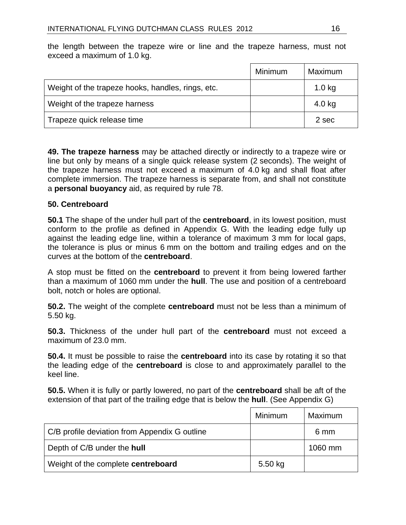|                                                   | Minimum | Maximum  |
|---------------------------------------------------|---------|----------|
| Weight of the trapeze hooks, handles, rings, etc. |         | $1.0$ kg |
| Weight of the trapeze harness                     |         | $4.0$ kg |
| Trapeze quick release time                        |         | 2 sec    |

the length between the trapeze wire or line and the trapeze harness, must not exceed a maximum of 1.0 kg.

**49. The trapeze harness** may be attached directly or indirectly to a trapeze wire or line but only by means of a single quick release system (2 seconds). The weight of the trapeze harness must not exceed a maximum of 4.0 kg and shall float after complete immersion. The trapeze harness is separate from, and shall not constitute a **personal buoyancy** aid, as required by rule 78.

#### **50. Centreboard**

**50.1** The shape of the under hull part of the **centreboard**, in its lowest position, must conform to the profile as defined in Appendix G. With the leading edge fully up against the leading edge line, within a tolerance of maximum 3 mm for local gaps, the tolerance is plus or minus 6 mm on the bottom and trailing edges and on the curves at the bottom of the **centreboard**.

A stop must be fitted on the **centreboard** to prevent it from being lowered farther than a maximum of 1060 mm under the **hull**. The use and position of a centreboard bolt, notch or holes are optional.

**50.2.** The weight of the complete **centreboard** must not be less than a minimum of 5.50 kg.

**50.3.** Thickness of the under hull part of the **centreboard** must not exceed a maximum of 23.0 mm.

**50.4.** It must be possible to raise the **centreboard** into its case by rotating it so that the leading edge of the **centreboard** is close to and approximately parallel to the keel line.

**50.5.** When it is fully or partly lowered, no part of the **centreboard** shall be aft of the extension of that part of the trailing edge that is below the **hull**. (See Appendix G)

|                                               | Minimum   | Maximum |
|-----------------------------------------------|-----------|---------|
| C/B profile deviation from Appendix G outline |           | 6 mm    |
| Depth of C/B under the hull                   |           | 1060 mm |
| Weight of the complete centreboard            | $5.50$ kg |         |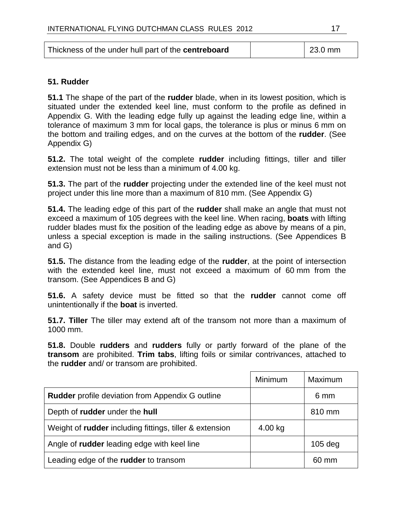| Thickness of the under hull part of the <b>centreboard</b><br>$\vert$ 23.0 mm |
|-------------------------------------------------------------------------------|
|-------------------------------------------------------------------------------|

#### **51. Rudder**

**51.1** The shape of the part of the **rudder** blade, when in its lowest position, which is situated under the extended keel line, must conform to the profile as defined in Appendix G. With the leading edge fully up against the leading edge line, within a tolerance of maximum 3 mm for local gaps, the tolerance is plus or minus 6 mm on the bottom and trailing edges, and on the curves at the bottom of the **rudder**. (See Appendix G)

**51.2.** The total weight of the complete **rudder** including fittings, tiller and tiller extension must not be less than a minimum of 4.00 kg.

**51.3.** The part of the **rudder** projecting under the extended line of the keel must not project under this line more than a maximum of 810 mm. (See Appendix G)

**51.4.** The leading edge of this part of the **rudder** shall make an angle that must not exceed a maximum of 105 degrees with the keel line. When racing, **boats** with lifting rudder blades must fix the position of the leading edge as above by means of a pin, unless a special exception is made in the sailing instructions. (See Appendices B and G)

**51.5.** The distance from the leading edge of the **rudder**, at the point of intersection with the extended keel line, must not exceed a maximum of 60 mm from the transom. (See Appendices B and G)

**51.6.** A safety device must be fitted so that the **rudder** cannot come off unintentionally if the **boat** is inverted.

**51.7. Tiller** The tiller may extend aft of the transom not more than a maximum of 1000 mm.

**51.8.** Double **rudders** and **rudders** fully or partly forward of the plane of the **transom** are prohibited. **Trim tabs**, lifting foils or similar contrivances, attached to the **rudder** and/ or transom are prohibited.

|                                                                | Minimum | Maximum         |
|----------------------------------------------------------------|---------|-----------------|
| <b>Rudder</b> profile deviation from Appendix G outline        |         | 6 mm            |
| Depth of rudder under the hull                                 |         | 810 mm          |
| Weight of <b>rudder</b> including fittings, tiller & extension | 4.00 kg |                 |
| Angle of <b>rudder</b> leading edge with keel line             |         | $105$ deg       |
| Leading edge of the <b>rudder</b> to transom                   |         | $60 \text{ mm}$ |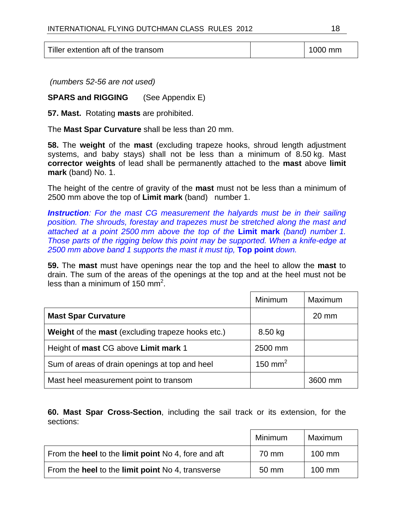Tiller extention aft of the transom 1000 mm

 *(numbers 52-56 are not used)* 

**SPARS and RIGGING** (See Appendix E)

**57. Mast.** Rotating **masts** are prohibited.

The **Mast Spar Curvature** shall be less than 20 mm.

**58.** The **weight** of the **mast** (excluding trapeze hooks, shroud length adjustment systems, and baby stays) shall not be less than a minimum of 8.50 kg. Mast **corrector weights** of lead shall be permanently attached to the **mast** above **limit mark** (band) No. 1.

The height of the centre of gravity of the **mast** must not be less than a minimum of 2500 mm above the top of **Limit mark** (band) number 1.

*Instruction: For the mast CG measurement the halyards must be in their sailing position. The shrouds, forestay and trapezes must be stretched along the mast and attached at a point 2500 mm above the top of the* **Limit mark** *(band) number 1. Those parts of the rigging below this point may be supported. When a knife-edge at 2500 mm above band 1 supports the mast it must tip,* **Top point** *down.* 

**59.** The **mast** must have openings near the top and the heel to allow the **mast** to drain. The sum of the areas of the openings at the top and at the heel must not be less than a minimum of 150 mm<sup>2</sup>.

|                                                   | Minimum             | Maximum         |
|---------------------------------------------------|---------------------|-----------------|
| <b>Mast Spar Curvature</b>                        |                     | $20 \text{ mm}$ |
| Weight of the mast (excluding trapeze hooks etc.) | 8.50 kg             |                 |
| Height of mast CG above Limit mark 1              | 2500 mm             |                 |
| Sum of areas of drain openings at top and heel    | 150 mm <sup>2</sup> |                 |
| Mast heel measurement point to transom            |                     | 3600 mm         |

**60. Mast Spar Cross-Section**, including the sail track or its extension, for the sections:

|                                                            | Minimum | Maximum          |
|------------------------------------------------------------|---------|------------------|
| From the <b>heel</b> to the limit point No 4, fore and aft | 70 mm   | $100 \text{ mm}$ |
| From the <b>heel</b> to the limit point No 4, transverse   | 50 mm   | $100$ mm         |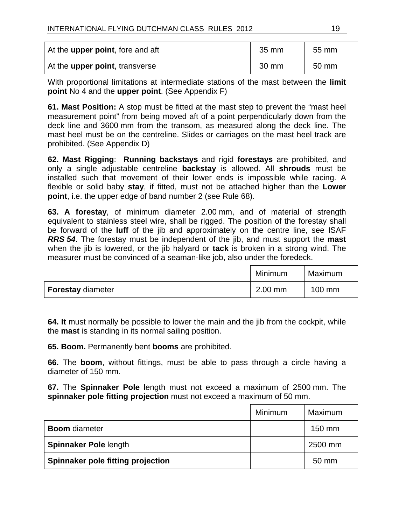| At the upper point, fore and aft       | 35 mm           | 55 mm |
|----------------------------------------|-----------------|-------|
| At the <b>upper point</b> , transverse | $30 \text{ mm}$ | 50 mm |

With proportional limitations at intermediate stations of the mast between the **limit point** No 4 and the **upper point**. (See Appendix F)

**61. Mast Position:** A stop must be fitted at the mast step to prevent the "mast heel measurement point" from being moved aft of a point perpendicularly down from the deck line and 3600 mm from the transom, as measured along the deck line. The mast heel must be on the centreline. Slides or carriages on the mast heel track are prohibited. (See Appendix D)

**62. Mast Rigging**: **Running backstays** and rigid **forestays** are prohibited, and only a single adjustable centreline **backstay** is allowed. All **shrouds** must be installed such that movement of their lower ends is impossible while racing. A flexible or solid baby **stay**, if fitted, must not be attached higher than the **Lower point**, i.e. the upper edge of band number 2 (see Rule 68).

**63. A forestay**, of minimum diameter 2.00 mm, and of material of strength equivalent to stainless steel wire, shall be rigged. The position of the forestay shall be forward of the **luff** of the jib and approximately on the centre line, see ISAF *RRS 54*. The forestay must be independent of the jib, and must support the **mast** when the jib is lowered, or the jib halyard or **tack** is broken in a strong wind. The measurer must be convinced of a seaman-like job, also under the foredeck.

|                          | Minimum   | Maximum |
|--------------------------|-----------|---------|
| <b>Forestay diameter</b> | $2.00$ mm | 100 mm  |

**64. It** must normally be possible to lower the main and the jib from the cockpit, while the **mast** is standing in its normal sailing position.

**65. Boom.** Permanently bent **booms** are prohibited.

**66.** The **boom**, without fittings, must be able to pass through a circle having a diameter of 150 mm.

**67.** The **Spinnaker Pole** length must not exceed a maximum of 2500 mm. The **spinnaker pole fitting projection** must not exceed a maximum of 50 mm.

|                                   | <b>Minimum</b> | Maximum |
|-----------------------------------|----------------|---------|
| <b>Boom</b> diameter              |                | 150 mm  |
| <b>Spinnaker Pole length</b>      |                | 2500 mm |
| Spinnaker pole fitting projection |                | 50 mm   |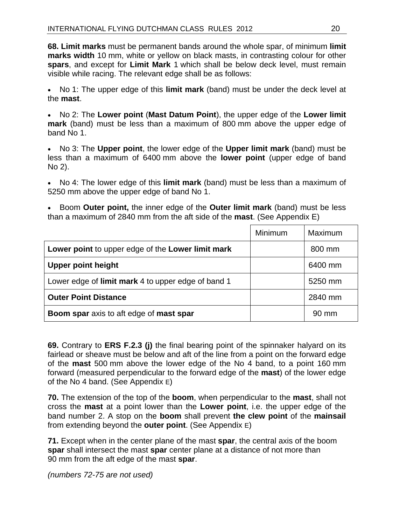**68. Limit marks** must be permanent bands around the whole spar, of minimum **limit marks width** 10 mm, white or yellow on black masts, in contrasting colour for other **spars**, and except for **Limit Mark** 1 which shall be below deck level, must remain visible while racing. The relevant edge shall be as follows:

• No 1: The upper edge of this **limit mark** (band) must be under the deck level at the **mast**.

• No 2: The **Lower point** (**Mast Datum Point**), the upper edge of the **Lower limit mark** (band) must be less than a maximum of 800 mm above the upper edge of band No 1.

• No 3: The **Upper point**, the lower edge of the **Upper limit mark** (band) must be less than a maximum of 6400 mm above the **lower point** (upper edge of band No 2).

• No 4: The lower edge of this **limit mark** (band) must be less than a maximum of 5250 mm above the upper edge of band No 1.

• Boom **Outer point,** the inner edge of the **Outer limit mark** (band) must be less than a maximum of 2840 mm from the aft side of the **mast**. (See Appendix E)

|                                                       | Minimum | Maximum         |
|-------------------------------------------------------|---------|-----------------|
| Lower point to upper edge of the Lower limit mark     |         | 800 mm          |
| <b>Upper point height</b>                             |         | 6400 mm         |
| Lower edge of limit mark 4 to upper edge of band 1    |         | 5250 mm         |
| <b>Outer Point Distance</b>                           |         | 2840 mm         |
| <b>Boom spar</b> axis to aft edge of <b>mast spar</b> |         | $90 \text{ mm}$ |

**69.** Contrary to **ERS F.2.3 (j)** the final bearing point of the spinnaker halyard on its fairlead or sheave must be below and aft of the line from a point on the forward edge of the **mast** 500 mm above the lower edge of the No 4 band, to a point 160 mm forward (measured perpendicular to the forward edge of the **mast**) of the lower edge of the No 4 band. (See Appendix E)

**70.** The extension of the top of the **boom**, when perpendicular to the **mast**, shall not cross the **mast** at a point lower than the **Lower point**, i.e. the upper edge of the band number 2. A stop on the **boom** shall prevent **the clew point** of the **mainsail** from extending beyond the **outer point**. (See Appendix E)

**71.** Except when in the center plane of the mast **spar**, the central axis of the boom **spar** shall intersect the mast **spar** center plane at a distance of not more than 90 mm from the aft edge of the mast **spar**.

*(numbers 72-75 are not used)*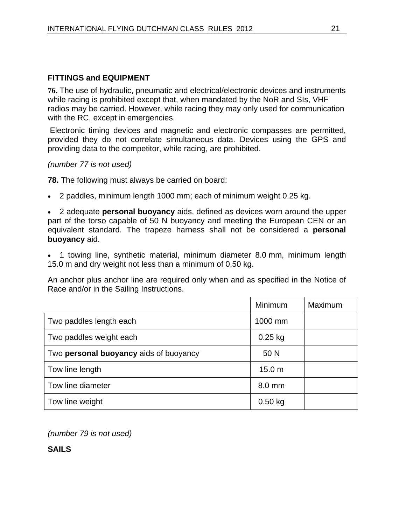#### **FITTINGS and EQUIPMENT**

**76.** The use of hydraulic, pneumatic and electrical/electronic devices and instruments while racing is prohibited except that, when mandated by the NoR and SIs, VHF radios may be carried. However, while racing they may only used for communication with the RC, except in emergencies.

 Electronic timing devices and magnetic and electronic compasses are permitted, provided they do not correlate simultaneous data. Devices using the GPS and providing data to the competitor, while racing, are prohibited.

#### *(number 77 is not used)*

**78.** The following must always be carried on board:

• 2 paddles, minimum length 1000 mm; each of minimum weight 0.25 kg.

• 2 adequate **personal buoyancy** aids, defined as devices worn around the upper part of the torso capable of 50 N buoyancy and meeting the European CEN or an equivalent standard. The trapeze harness shall not be considered a **personal buoyancy** aid.

• 1 towing line, synthetic material, minimum diameter 8.0 mm, minimum length 15.0 m and dry weight not less than a minimum of 0.50 kg.

An anchor plus anchor line are required only when and as specified in the Notice of Race and/or in the Sailing Instructions.

|                                        | Minimum           | Maximum |
|----------------------------------------|-------------------|---------|
| Two paddles length each                | 1000 mm           |         |
| Two paddles weight each                | $0.25$ kg         |         |
| Two personal buoyancy aids of buoyancy | 50 N              |         |
| Tow line length                        | 15.0 <sub>m</sub> |         |
| Tow line diameter                      | 8.0 mm            |         |
| Tow line weight                        | $0.50$ kg         |         |

*(number 79 is not used)* 

**SAILS**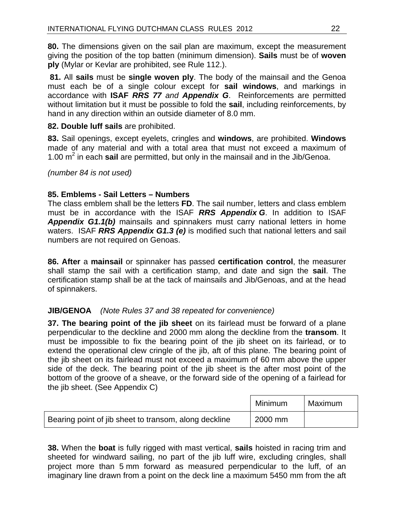**80.** The dimensions given on the sail plan are maximum, except the measurement giving the position of the top batten (minimum dimension). **Sails** must be of **woven ply** (Mylar or Kevlar are prohibited, see Rule 112.).

**81.** All **sails** must be **single woven ply**. The body of the mainsail and the Genoa must each be of a single colour except for **sail windows**, and markings in accordance with **ISAF** *RRS 77 and Appendix G*. Reinforcements are permitted without limitation but it must be possible to fold the **sail**, including reinforcements, by hand in any direction within an outside diameter of 8.0 mm.

#### **82. Double luff sails** are prohibited.

**83.** Sail openings, except eyelets, cringles and **windows**, are prohibited. **Windows** made of any material and with a total area that must not exceed a maximum of 1.00 m<sup>2</sup> in each **sail** are permitted, but only in the mainsail and in the Jib/Genoa.

*(number 84 is not used)*

#### **85. Emblems - Sail Letters – Numbers**

The class emblem shall be the letters **FD**. The sail number, letters and class emblem must be in accordance with the ISAF *RRS Appendix G*. In addition to ISAF *Appendix G1.1(b)* mainsails and spinnakers must carry national letters in home waters. ISAF *RRS Appendix G1.3 (e)* is modified such that national letters and sail numbers are not required on Genoas.

**86. After** a **mainsail** or spinnaker has passed **certification control**, the measurer shall stamp the sail with a certification stamp, and date and sign the **sail**. The certification stamp shall be at the tack of mainsails and Jib/Genoas, and at the head of spinnakers.

#### **JIB/GENOA** *(Note Rules 37 and 38 repeated for convenience)*

**37. The bearing point of the jib sheet** on its fairlead must be forward of a plane perpendicular to the deckline and 2000 mm along the deckline from the **transom**. It must be impossible to fix the bearing point of the jib sheet on its fairlead, or to extend the operational clew cringle of the jib, aft of this plane. The bearing point of the jib sheet on its fairlead must not exceed a maximum of 60 mm above the upper side of the deck. The bearing point of the jib sheet is the after most point of the bottom of the groove of a sheave, or the forward side of the opening of a fairlead for the jib sheet. (See Appendix C)

|                                                       | Minimum | Maximum |
|-------------------------------------------------------|---------|---------|
| Bearing point of jib sheet to transom, along deckline | 2000 mm |         |

**38.** When the **boat** is fully rigged with mast vertical, **sails** hoisted in racing trim and sheeted for windward sailing, no part of the jib luff wire, excluding cringles, shall project more than 5 mm forward as measured perpendicular to the luff, of an imaginary line drawn from a point on the deck line a maximum 5450 mm from the aft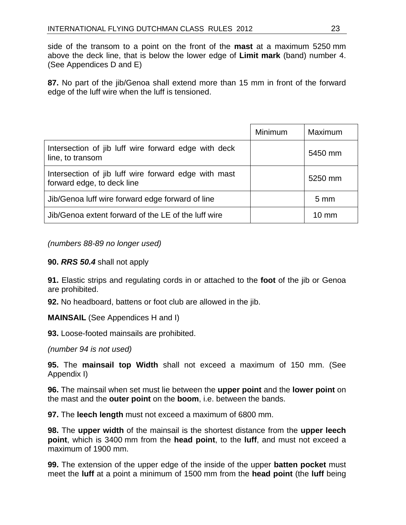side of the transom to a point on the front of the **mast** at a maximum 5250 mm above the deck line, that is below the lower edge of **Limit mark** (band) number 4. (See Appendices D and E)

**87.** No part of the jib/Genoa shall extend more than 15 mm in front of the forward edge of the luff wire when the luff is tensioned.

|                                                                                    | <b>Minimum</b> | Maximum         |
|------------------------------------------------------------------------------------|----------------|-----------------|
| Intersection of jib luff wire forward edge with deck<br>line, to transom           |                | 5450 mm         |
| Intersection of jib luff wire forward edge with mast<br>forward edge, to deck line |                | 5250 mm         |
| Jib/Genoa luff wire forward edge forward of line                                   |                | $5 \text{ mm}$  |
| Jib/Genoa extent forward of the LE of the luff wire                                |                | $10 \text{ mm}$ |

*(numbers 88-89 no longer used)*

**90.** *RRS 50.4* shall not apply

**91.** Elastic strips and regulating cords in or attached to the **foot** of the jib or Genoa are prohibited.

**92.** No headboard, battens or foot club are allowed in the jib.

**MAINSAIL** (See Appendices H and I)

**93.** Loose-footed mainsails are prohibited.

*(number 94 is not used)*

**95.** The **mainsail top Width** shall not exceed a maximum of 150 mm. (See Appendix I)

**96.** The mainsail when set must lie between the **upper point** and the **lower point** on the mast and the **outer point** on the **boom**, i.e. between the bands.

**97.** The **leech length** must not exceed a maximum of 6800 mm.

**98.** The **upper width** of the mainsail is the shortest distance from the **upper leech point**, which is 3400 mm from the **head point**, to the **luff**, and must not exceed a maximum of 1900 mm.

**99.** The extension of the upper edge of the inside of the upper **batten pocket** must meet the **luff** at a point a minimum of 1500 mm from the **head point** (the **luff** being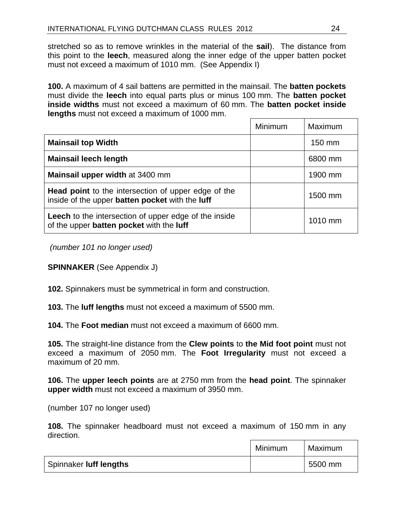stretched so as to remove wrinkles in the material of the **sail**). The distance from this point to the **leech**, measured along the inner edge of the upper batten pocket must not exceed a maximum of 1010 mm.(See Appendix I)

**100.** A maximum of 4 sail battens are permitted in the mainsail. The **batten pockets** must divide the **leech** into equal parts plus or minus 100 mm. The **batten pocket inside widths** must not exceed a maximum of 60 mm. The **batten pocket inside lengths** must not exceed a maximum of 1000 mm.

|                                                                                                               | <b>Minimum</b> | Maximum |
|---------------------------------------------------------------------------------------------------------------|----------------|---------|
| <b>Mainsail top Width</b>                                                                                     |                | 150 mm  |
| <b>Mainsail leech length</b>                                                                                  |                | 6800 mm |
| Mainsail upper width at 3400 mm                                                                               |                | 1900 mm |
| <b>Head point</b> to the intersection of upper edge of the<br>inside of the upper batten pocket with the luff |                | 1500 mm |
| <b>Leech</b> to the intersection of upper edge of the inside<br>of the upper batten pocket with the luff      |                | 1010 mm |

 *(number 101 no longer used)* 

**SPINNAKER** (See Appendix J)

**102.** Spinnakers must be symmetrical in form and construction.

**103.** The **luff lengths** must not exceed a maximum of 5500 mm.

**104.** The **Foot median** must not exceed a maximum of 6600 mm.

**105.** The straight-line distance from the **Clew points** to **the Mid foot point** must not exceed a maximum of 2050 mm. The **Foot Irregularity** must not exceed a maximum of 20 mm.

**106.** The **upper leech points** are at 2750 mm from the **head point**. The spinnaker **upper width** must not exceed a maximum of 3950 mm.

(number 107 no longer used)

**108.** The spinnaker headboard must not exceed a maximum of 150 mm in any direction.

|                        | Minimum | Maximum |
|------------------------|---------|---------|
| Spinnaker luff lengths |         | 5500 mm |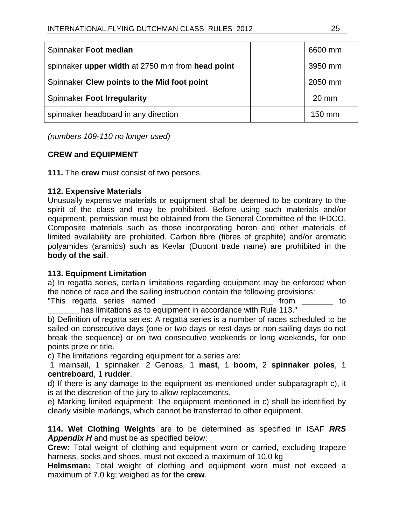| Spinnaker Foot median                            | 6600 mm          |
|--------------------------------------------------|------------------|
| spinnaker upper width at 2750 mm from head point | 3950 mm          |
| Spinnaker Clew points to the Mid foot point      | 2050 mm          |
| Spinnaker Foot Irregularity                      | $20 \text{ mm}$  |
| spinnaker headboard in any direction             | $150 \text{ mm}$ |

*(numbers 109-110 no longer used)* 

#### **CREW and EQUIPMENT**

**111.** The **crew** must consist of two persons.

#### **112. Expensive Materials**

Unusually expensive materials or equipment shall be deemed to be contrary to the spirit of the class and may be prohibited. Before using such materials and/or equipment, permission must be obtained from the General Committee of the IFDCO. Composite materials such as those incorporating boron and other materials of limited availability are prohibited. Carbon fibre (fibres of graphite) and/or aromatic polyamides (aramids) such as Kevlar (Dupont trade name) are prohibited in the **body of the sail**.

#### **113. Equipment Limitation**

a) In regatta series, certain limitations regarding equipment may be enforced when the notice of race and the sailing instruction contain the following provisions:

"This regatta series named by the state of the state of the state of the state of the state of the state of the state of the state of the state of the state of the state of the state of the state of the state of the state has limitations as to equipment in accordance with Rule 113."

b) Definition of regatta series: A regatta series is a number of races scheduled to be sailed on consecutive days (one or two days or rest days or non-sailing days do not break the sequence) or on two consecutive weekends or long weekends, for one points prize or title.

c) The limitations regarding equipment for a series are:

 1 mainsail, 1 spinnaker, 2 Genoas, 1 **mast**, 1 **boom**, 2 **spinnaker poles**, 1 **centreboard**, 1 **rudder**.

d) If there is any damage to the equipment as mentioned under subparagraph c), it is at the discretion of the jury to allow replacements.

e) Marking limited equipment: The equipment mentioned in c) shall be identified by clearly visible markings, which cannot be transferred to other equipment.

**114. Wet Clothing Weights** are to be determined as specified in ISAF *RRS Appendix H* and must be as specified below:

**Crew:** Total weight of clothing and equipment worn or carried, excluding trapeze harness, socks and shoes, must not exceed a maximum of 10.0 kg

**Helmsman:** Total weight of clothing and equipment worn must not exceed a maximum of 7.0 kg; weighed as for the **crew**.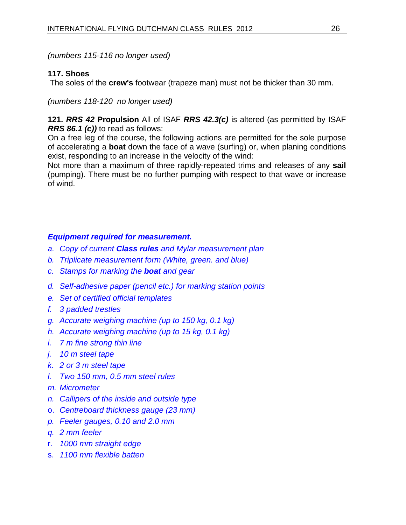*(numbers 115-116 no longer used)* 

#### **117. Shoes**

The soles of the **crew's** footwear (trapeze man) must not be thicker than 30 mm.

*(numbers 118-120 no longer used)* 

**121.** *RRS 42* **Propulsion** All of ISAF *RRS 42.3(c)* is altered (as permitted by ISAF *RRS 86.1 (c))* to read as follows:

On a free leg of the course, the following actions are permitted for the sole purpose of accelerating a **boat** down the face of a wave (surfing) or, when planing conditions exist, responding to an increase in the velocity of the wind:

Not more than a maximum of three rapidly-repeated trims and releases of any **sail** (pumping). There must be no further pumping with respect to that wave or increase of wind.

#### *Equipment required for measurement.*

- *a. Copy of current Class rules and Mylar measurement plan*
- *b. Triplicate measurement form (White, green. and blue)*
- *c. Stamps for marking the boat and gear*
- *d. Self-adhesive paper (pencil etc.) for marking station points*
- *e. Set of certified official templates*
- *f. 3 padded trestles*
- *g. Accurate weighing machine (up to 150 kg, 0.1 kg)*
- *h. Accurate weighing machine (up to 15 kg, 0.1 kg)*
- *i. 7 m fine strong thin line*
- *j. 10 m steel tape*
- *k. 2 or 3 m steel tape*
- *l. Two 150 mm, 0.5 mm steel rules*
- *m. Micrometer*
- *n. Callipers of the inside and outside type*
- o. *Centreboard thickness gauge (23 mm)*
- *p. Feeler gauges, 0.10 and 2.0 mm*
- *q. 2 mm feeler*
- r. *1000 mm straight edge*
- s. *1100 mm flexible batten*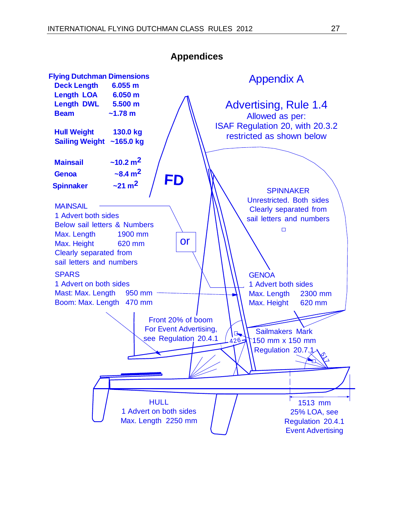

**Appendices**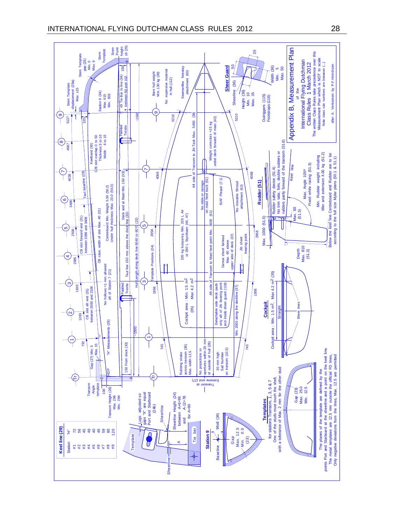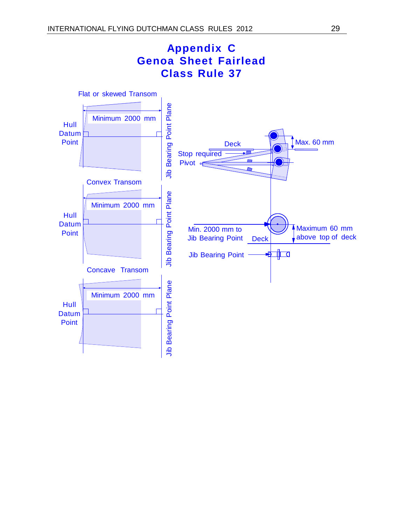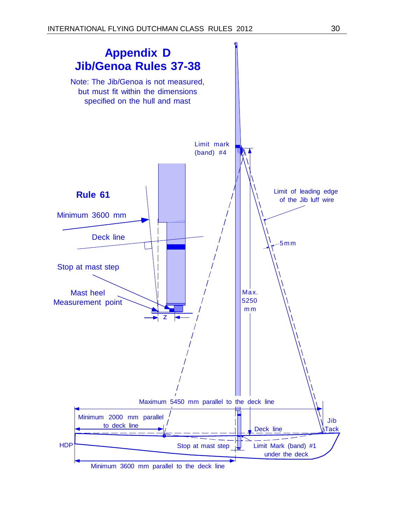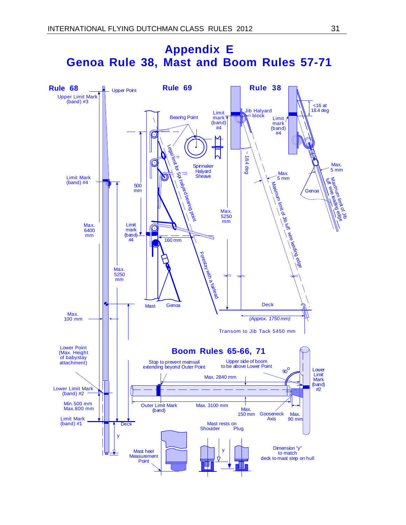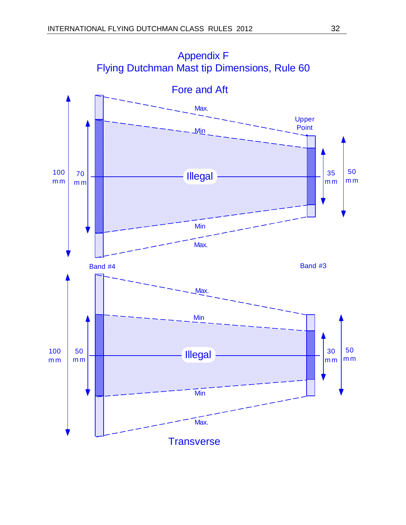

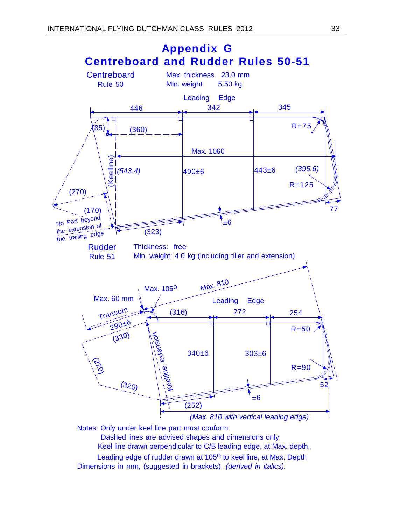

Notes: Only under keel line part must conform

Dashed lines are advised shapes and dimensions only

Keel line drawn perpendicular to C/B leading edge, at Max. depth.

Leading edge of rudder drawn at 1050 to keel line, at Max. Depth Dimensions in mm, (suggested in brackets), *(derived in italics).*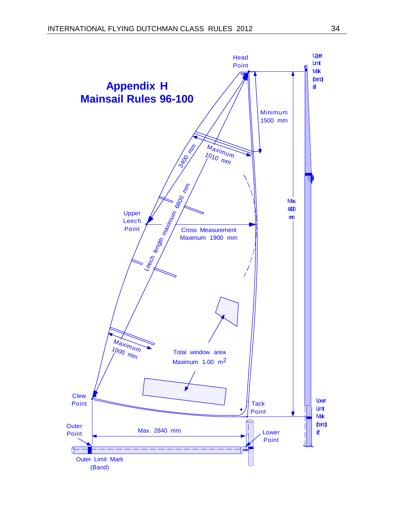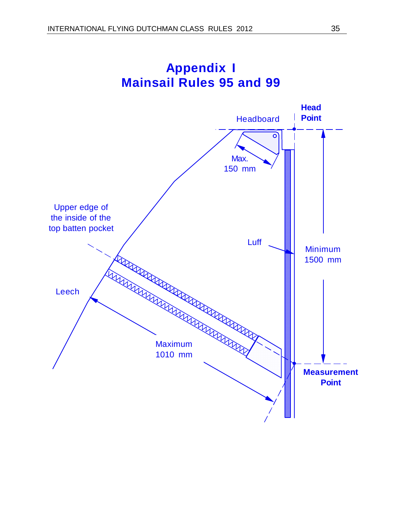

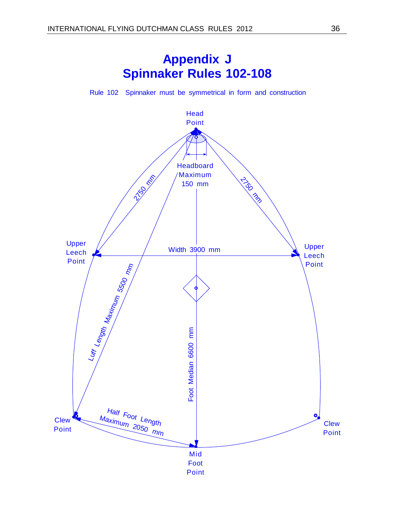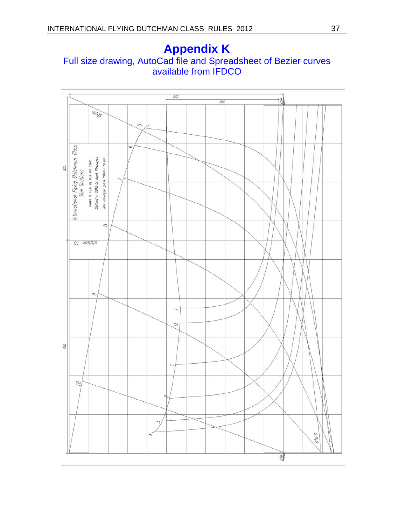### **Appendix K**  Full size drawing, AutoCad file and Spreadsheet of Bezier curves available from IFDCO

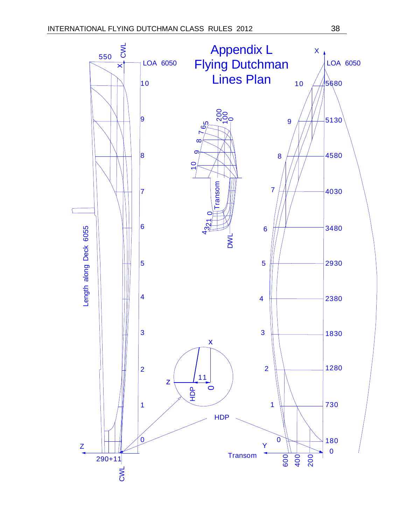